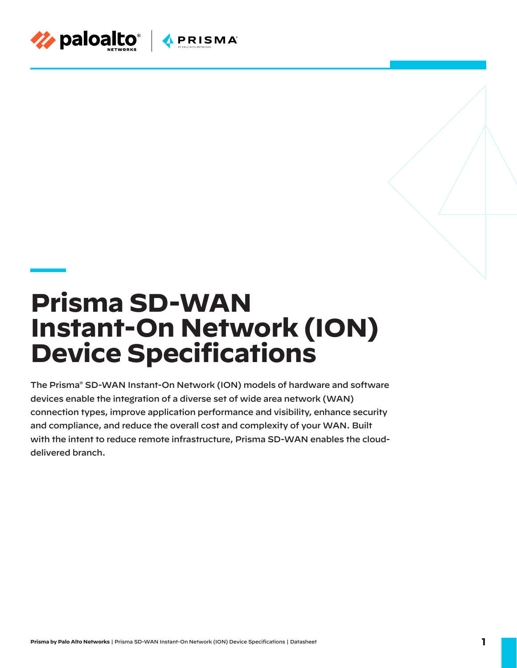

# **Prisma SD-WAN Instant-On Network (ION) Device Specifications**

The Prisma® SD-WAN Instant-On Network (ION) models of hardware and software devices enable the integration of a diverse set of wide area network (WAN) connection types, improve application performance and visibility, enhance security and compliance, and reduce the overall cost and complexity of your WAN. Built with the intent to reduce remote infrastructure, Prisma SD-WAN enables the clouddelivered branch.

**Prisma by Palo Alto Networks** | Prisma SD-WAN Instant-On Network (ION) Device Specifications | Datasheet **1**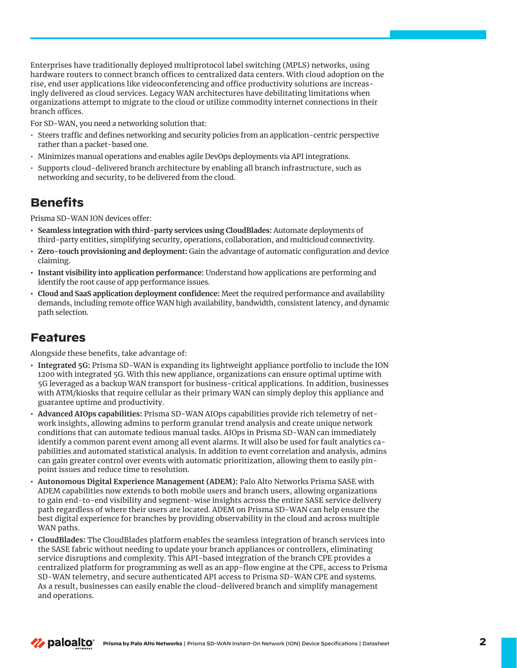Enterprises have traditionally deployed multiprotocol label switching (MPLS) networks, using hardware routers to connect branch offices to centralized data centers. With cloud adoption on the rise, end user applications like videoconferencing and office productivity solutions are increasingly delivered as cloud services. Legacy WAN architectures have debilitating limitations when organizations attempt to migrate to the cloud or utilize commodity internet connections in their branch offices.

For SD-WAN, you need a networking solution that:

- Steers traffic and defines networking and security policies from an application-centric perspective rather than a packet-based one.
- Minimizes manual operations and enables agile DevOps deployments via API integrations.
- Supports cloud-delivered branch architecture by enabling all branch infrastructure, such as networking and security, to be delivered from the cloud.

#### **Benefits**

Prisma SD-WAN ION devices offer:

- **• Seamless integration with third-party services using CloudBlades:** Automate deployments of third-party entities, simplifying security, operations, collaboration, and multicloud connectivity.
- **• Zero-touch provisioning and deployment:** Gain the advantage of automatic configuration and device claiming.
- **• Instant visibility into application performance:** Understand how applications are performing and identify the root cause of app performance issues.
- **• Cloud and SaaS application deployment confidence:** Meet the required performance and availability demands, including remote office WAN high availability, bandwidth, consistent latency, and dynamic path selection.

#### **Features**

Alongside these benefits, take advantage of:

- **• Integrated 5G:** Prisma SD-WAN is expanding its lightweight appliance portfolio to include the ION 1200 with integrated 5G. With this new appliance, organizations can ensure optimal uptime with 5G leveraged as a backup WAN transport for business-critical applications. In addition, businesses with ATM/kiosks that require cellular as their primary WAN can simply deploy this appliance and guarantee uptime and productivity.
- **• Advanced AIOps capabilities:** Prisma SD-WAN AIOps capabilities provide rich telemetry of network insights, allowing admins to perform granular trend analysis and create unique network conditions that can automate tedious manual tasks. AIOps in Prisma SD-WAN can immediately identify a common parent event among all event alarms. It will also be used for fault analytics capabilities and automated statistical analysis. In addition to event correlation and analysis, admins can gain greater control over events with automatic prioritization, allowing them to easily pinpoint issues and reduce time to resolution.
- **• Autonomous Digital Experience Management (ADEM):** Palo Alto Networks Prisma SASE with ADEM capabilities now extends to both mobile users and branch users, allowing organizations to gain end-to-end visibility and segment-wise insights across the entire SASE service delivery path regardless of where their users are located. ADEM on Prisma SD-WAN can help ensure the best digital experience for branches by providing observability in the cloud and across multiple WAN paths.
- **• CloudBlades:** The CloudBlades platform enables the seamless integration of branch services into the SASE fabric without needing to update your branch appliances or controllers, eliminating service disruptions and complexity. This API-based integration of the branch CPE provides a centralized platform for programming as well as an app-flow engine at the CPE, access to Prisma SD-WAN telemetry, and secure authenticated API access to Prisma SD-WAN CPE and systems. As a result, businesses can easily enable the cloud-delivered branch and simplify management and operations.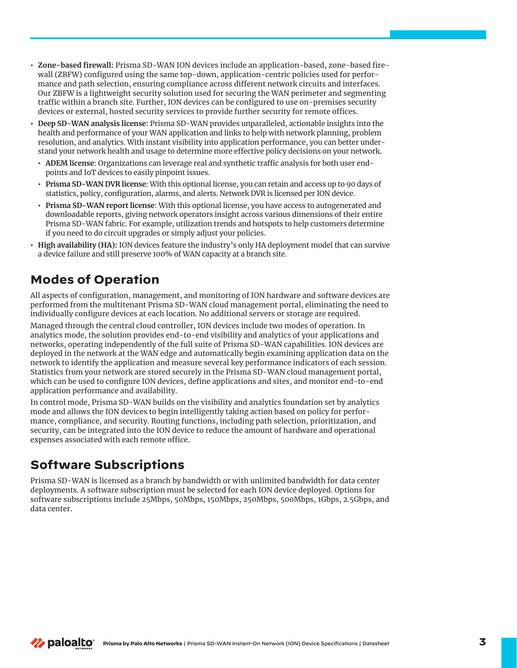- **• Zone-based firewall:** Prisma SD-WAN ION devices include an application-based, zone-based firewall (ZBFW) configured using the same top-down, application-centric policies used for performance and path selection, ensuring compliance across different network circuits and interfaces. Our ZBFW is a lightweight security solution used for securing the WAN perimeter and segmenting traffic within a branch site. Further, ION devices can be configured to use on-premises security devices or external, hosted security services to provide further security for remote offices.
- **• Deep SD-WAN analysis license:** Prisma SD-WAN provides unparalleled, actionable insights into the health and performance of your WAN application and links to help with network planning, problem resolution, and analytics. With instant visibility into application performance, you can better understand your network health and usage to determine more effective policy decisions on your network.
- **• ADEM license**: Organizations can leverage real and synthetic traffic analysis for both user endpoints and IoT devices to easily pinpoint issues.
- **• Prisma SD-WAN DVR license**: With this optional license, you can retain and access up to 90 days of statistics, policy, configuration, alarms, and alerts. Network DVR is licensed per ION device.
- **• Prisma SD-WAN report license**: With this optional license, you have access to autogenerated and downloadable reports, giving network operators insight across various dimensions of their entire Prisma SD-WAN fabric. For example, utilization trends and hotspots to help customers determine if you need to do circuit upgrades or simply adjust your policies.
- **• High availability (HA):** ION devices feature the industry's only HA deployment model that can survive a device failure and still preserve 100% of WAN capacity at a branch site.

## **Modes of Operation**

All aspects of configuration, management, and monitoring of ION hardware and software devices are performed from the multitenant Prisma SD-WAN cloud management portal, eliminating the need to individually configure devices at each location. No additional servers or storage are required.

Managed through the central cloud controller, ION devices include two modes of operation. In analytics mode, the solution provides end-to-end visibility and analytics of your applications and networks, operating independently of the full suite of Prisma SD-WAN capabilities. ION devices are deployed in the network at the WAN edge and automatically begin examining application data on the network to identify the application and measure several key performance indicators of each session. Statistics from your network are stored securely in the Prisma SD-WAN cloud management portal, which can be used to configure ION devices, define applications and sites, and monitor end-to-end application performance and availability.

In control mode, Prisma SD-WAN builds on the visibility and analytics foundation set by analytics mode and allows the ION devices to begin intelligently taking action based on policy for performance, compliance, and security. Routing functions, including path selection, prioritization, and security, can be integrated into the ION device to reduce the amount of hardware and operational expenses associated with each remote office.

# **Software Subscriptions**

Prisma SD-WAN is licensed as a branch by bandwidth or with unlimited bandwidth for data center deployments. A software subscription must be selected for each ION device deployed. Options for software subscriptions include 25Mbps, 50Mbps, 150Mbps, 250Mbps, 500Mbps, 1Gbps, 2.5Gbps, and data center.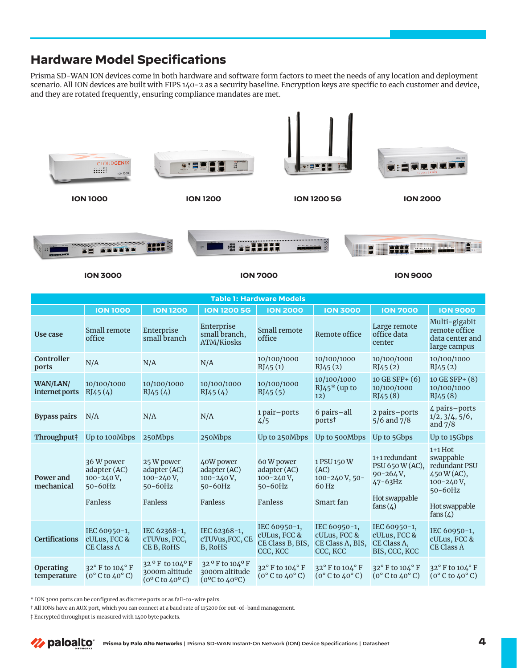### **Hardware Model Specifications**

Prisma SD-WAN ION devices come in both hardware and software form factors to meet the needs of any location and deployment scenario. All ION devices are built with FIPS 140-2 as a security baseline. Encryption keys are specific to each customer and device, and they are rotated frequently, ensuring compliance mandates are met.



\* ION 3000 ports can be configured as discrete ports or as fail-to-wire pairs.

† All IONs have an AUX port, which you can connect at a baud rate of 115200 for out-of-band management.

‡ Encrypted throughput is measured with 1400 byte packets.